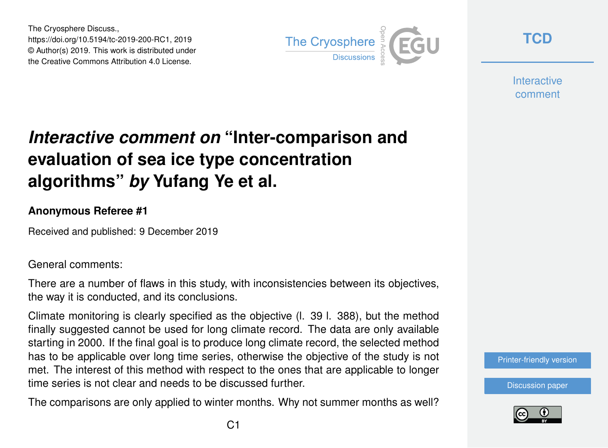The Cryosphere Discuss., https://doi.org/10.5194/tc-2019-200-RC1, 2019 © Author(s) 2019. This work is distributed under the Creative Commons Attribution 4.0 License.



**[TCD](https://www.the-cryosphere-discuss.net/)**

**Interactive** comment

# *Interactive comment on* **"Inter-comparison and evaluation of sea ice type concentration algorithms"** *by* **Yufang Ye et al.**

#### **Anonymous Referee #1**

Received and published: 9 December 2019

General comments:

There are a number of flaws in this study, with inconsistencies between its objectives, the way it is conducted, and its conclusions.

Climate monitoring is clearly specified as the objective (l. 39 l. 388), but the method finally suggested cannot be used for long climate record. The data are only available starting in 2000. If the final goal is to produce long climate record, the selected method has to be applicable over long time series, otherwise the objective of the study is not met. The interest of this method with respect to the ones that are applicable to longer time series is not clear and needs to be discussed further.

The comparisons are only applied to winter months. Why not summer months as well?

[Printer-friendly version](https://www.the-cryosphere-discuss.net/tc-2019-200/tc-2019-200-RC1-print.pdf)

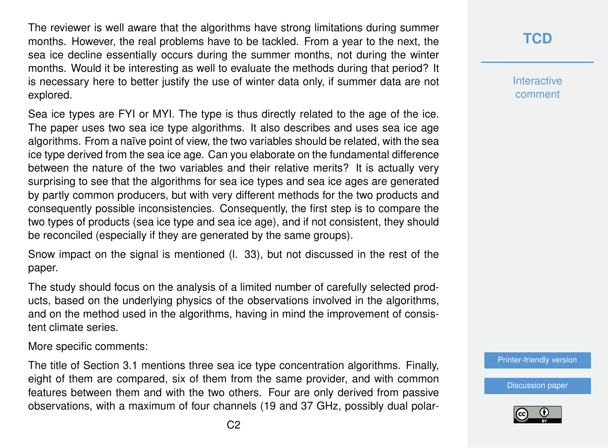The reviewer is well aware that the algorithms have strong limitations during summer months. However, the real problems have to be tackled. From a year to the next, the sea ice decline essentially occurs during the summer months, not during the winter months. Would it be interesting as well to evaluate the methods during that period? It is necessary here to better justify the use of winter data only, if summer data are not explored.

Sea ice types are FYI or MYI. The type is thus directly related to the age of the ice. The paper uses two sea ice type algorithms. It also describes and uses sea ice age algorithms. From a naïve point of view, the two variables should be related, with the sea ice type derived from the sea ice age. Can you elaborate on the fundamental difference between the nature of the two variables and their relative merits? It is actually very surprising to see that the algorithms for sea ice types and sea ice ages are generated by partly common producers, but with very different methods for the two products and consequently possible inconsistencies. Consequently, the first step is to compare the two types of products (sea ice type and sea ice age), and if not consistent, they should be reconciled (especially if they are generated by the same groups).

Snow impact on the signal is mentioned (l. 33), but not discussed in the rest of the paper.

The study should focus on the analysis of a limited number of carefully selected products, based on the underlying physics of the observations involved in the algorithms, and on the method used in the algorithms, having in mind the improvement of consistent climate series.

More specific comments:

The title of Section 3.1 mentions three sea ice type concentration algorithms. Finally, eight of them are compared, six of them from the same provider, and with common features between them and with the two others. Four are only derived from passive observations, with a maximum of four channels (19 and 37 GHz, possibly dual polar-

# **[TCD](https://www.the-cryosphere-discuss.net/)**

**Interactive** comment

[Printer-friendly version](https://www.the-cryosphere-discuss.net/tc-2019-200/tc-2019-200-RC1-print.pdf)

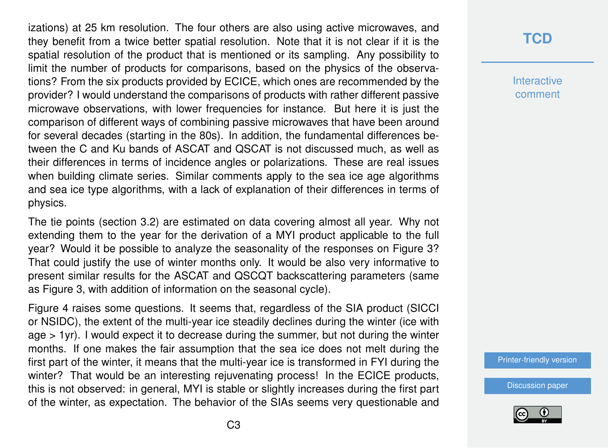izations) at 25 km resolution. The four others are also using active microwaves, and they benefit from a twice better spatial resolution. Note that it is not clear if it is the spatial resolution of the product that is mentioned or its sampling. Any possibility to limit the number of products for comparisons, based on the physics of the observations? From the six products provided by ECICE, which ones are recommended by the provider? I would understand the comparisons of products with rather different passive microwave observations, with lower frequencies for instance. But here it is just the comparison of different ways of combining passive microwaves that have been around for several decades (starting in the 80s). In addition, the fundamental differences between the C and Ku bands of ASCAT and QSCAT is not discussed much, as well as their differences in terms of incidence angles or polarizations. These are real issues when building climate series. Similar comments apply to the sea ice age algorithms and sea ice type algorithms, with a lack of explanation of their differences in terms of physics.

The tie points (section 3.2) are estimated on data covering almost all year. Why not extending them to the year for the derivation of a MYI product applicable to the full year? Would it be possible to analyze the seasonality of the responses on Figure 3? That could justify the use of winter months only. It would be also very informative to present similar results for the ASCAT and QSCQT backscattering parameters (same as Figure 3, with addition of information on the seasonal cycle).

Figure 4 raises some questions. It seems that, regardless of the SIA product (SICCI or NSIDC), the extent of the multi-year ice steadily declines during the winter (ice with age > 1yr). I would expect it to decrease during the summer, but not during the winter months. If one makes the fair assumption that the sea ice does not melt during the first part of the winter, it means that the multi-year ice is transformed in FYI during the winter? That would be an interesting rejuvenating process! In the ECICE products, this is not observed: in general, MYI is stable or slightly increases during the first part of the winter, as expectation. The behavior of the SIAs seems very questionable and

## **[TCD](https://www.the-cryosphere-discuss.net/)**

**Interactive** comment

[Printer-friendly version](https://www.the-cryosphere-discuss.net/tc-2019-200/tc-2019-200-RC1-print.pdf)

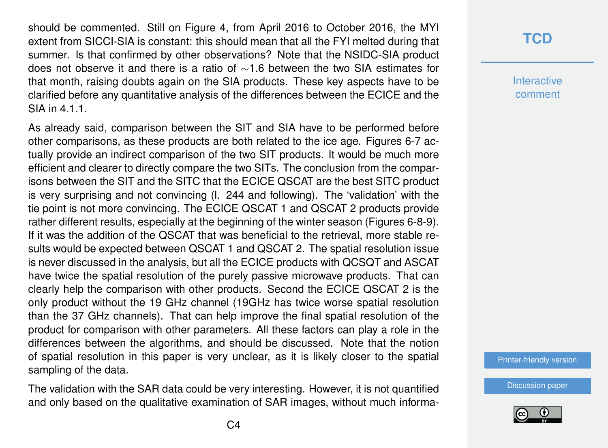should be commented. Still on Figure 4, from April 2016 to October 2016, the MYI extent from SICCI-SIA is constant: this should mean that all the FYI melted during that summer. Is that confirmed by other observations? Note that the NSIDC-SIA product does not observe it and there is a ratio of ∼1.6 between the two SIA estimates for that month, raising doubts again on the SIA products. These key aspects have to be clarified before any quantitative analysis of the differences between the ECICE and the SIA in 4.1.1.

As already said, comparison between the SIT and SIA have to be performed before other comparisons, as these products are both related to the ice age. Figures 6-7 actually provide an indirect comparison of the two SIT products. It would be much more efficient and clearer to directly compare the two SITs. The conclusion from the comparisons between the SIT and the SITC that the ECICE QSCAT are the best SITC product is very surprising and not convincing (l. 244 and following). The 'validation' with the tie point is not more convincing. The ECICE QSCAT 1 and QSCAT 2 products provide rather different results, especially at the beginning of the winter season (Figures 6-8-9). If it was the addition of the QSCAT that was beneficial to the retrieval, more stable results would be expected between QSCAT 1 and QSCAT 2. The spatial resolution issue is never discussed in the analysis, but all the ECICE products with QCSQT and ASCAT have twice the spatial resolution of the purely passive microwave products. That can clearly help the comparison with other products. Second the ECICE QSCAT 2 is the only product without the 19 GHz channel (19GHz has twice worse spatial resolution than the 37 GHz channels). That can help improve the final spatial resolution of the product for comparison with other parameters. All these factors can play a role in the differences between the algorithms, and should be discussed. Note that the notion of spatial resolution in this paper is very unclear, as it is likely closer to the spatial sampling of the data.

The validation with the SAR data could be very interesting. However, it is not quantified and only based on the qualitative examination of SAR images, without much informa-

### **[TCD](https://www.the-cryosphere-discuss.net/)**

**Interactive** comment

[Printer-friendly version](https://www.the-cryosphere-discuss.net/tc-2019-200/tc-2019-200-RC1-print.pdf)